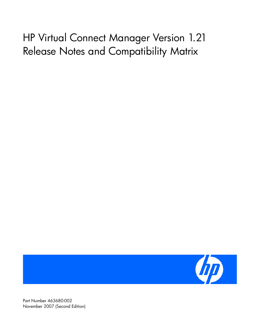# HP Virtual Connect Manager Version 1.21 Release Notes and Compatibility Matrix



Part Number 463680-002 November 2007 (Second Edition)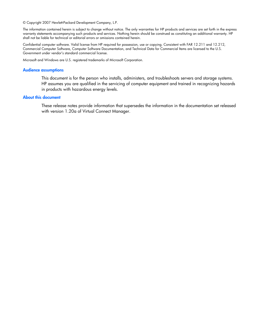© Copyright 2007 Hewlett-Packard Development Company, L.P.

The information contained herein is subject to change without notice. The only warranties for HP products and services are set forth in the express warranty statements accompanying such products and services. Nothing herein should be construed as constituting an additional warranty. HP shall not be liable for technical or editorial errors or omissions contained herein.

Confidential computer software. Valid license from HP required for possession, use or copying. Consistent with FAR 12.211 and 12.212, Commercial Computer Software, Computer Software Documentation, and Technical Data for Commercial Items are licensed to the U.S. Government under vendor's standard commercial license.

Microsoft and Windows are U.S. registered trademarks of Microsoft Corporation.

#### Audience assumptions

This document is for the person who installs, administers, and troubleshoots servers and storage systems. HP assumes you are qualified in the servicing of computer equipment and trained in recognizing hazards in products with hazardous energy levels.

#### About this document

These release notes provide information that supersedes the information in the documentation set released with version 1.20a of Virtual Connect Manager.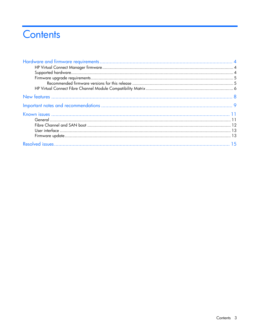## Contents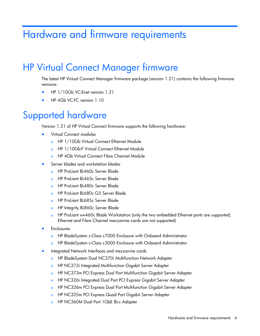## <span id="page-3-0"></span>Hardware and firmware requirements

## <span id="page-3-1"></span>HP Virtual Connect Manager firmware

The latest HP Virtual Connect Manager firmware package (version 1.21) contains the following firmware versions:

- HP 1/10Gb VC-Enet version 1.21
- HP 4Gb VC-FC version 1.10

## <span id="page-3-2"></span>Supported hardware

Version 1.21 of HP Virtual Connect firmware supports the following hardware:

- Virtual Connect modules
	- o HP 1/10Gb Virtual Connect Ethernet Module
	- o HP 1/10Gb-F Virtual Connect Ethernet Module
	- o HP 4Gb Virtual Connect Fibre Channel Module
- Server blades and workstation blades
	- o HP ProLiant BL460c Server Blade
	- o HP ProLiant BL465c Server Blade
	- o HP ProLiant BL480c Server Blade
	- o HP ProLiant BL680c G5 Server Blade
	- o HP ProLiant BL685c Server Blade
	- **o** HP Integrity BL860c Server Blade
	- o HP ProLiant xw460c Blade Workstation (only the two embedded Ethernet ports are supported; Ethernet and Fibre Channel mezzanine cards are not supported)
- **Enclosures** 
	- o HP BladeSystem c-Class c7000 Enclosure with Onboard Administrator
	- o HP BladeSystem c-Class c3000 Enclosure with Onboard Administrator
- Integrated Network Interfaces and mezzanine cards
	- o HP BladeSystem Dual NC370i Multifunction Network Adapter
	- o HP NC373i Integrated Multifunction Gigabit Server Adapter
	- o HP NC373m PCI Express Dual Port Multifunction Gigabit Server Adapter
	- o HP NC326i Integrated Dual Port PCI Express Gigabit Server Adapter
	- o HP NC326m PCI Express Dual Port Multifunction Gigabit Server Adapter
	- o HP NC325m PCI Express Quad Port Gigabit Server Adapter
	- HP NC360M Dual Port 1GbE BL-c Adapter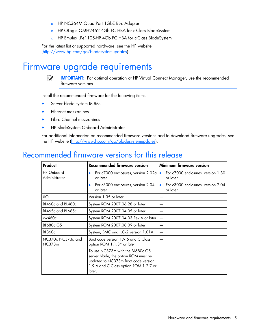- o HP NC364M Quad Port 1GbE BL-c Adapter
- o HP QLogic QMH2462 4Gb FC HBA for c-Class BladeSystem
- o HP Emulex LPe1105-HP 4Gb FC HBA for c-Class BladeSystem

For the latest list of supported hardware, see the HP website ([http://www.hp.com/go/bladesystemupdates\)](http://www.hp.com/go/bladesystemupdates).

#### <span id="page-4-0"></span>Firmware upgrade requirements

<u>iy</u> IMPORTANT: For optimal operation of HP Virtual Connect Manager, use the recommended firmware versions.

Install the recommended firmware for the following items:

- Server blade system ROMs
- Ethernet mezzanines
- Fibre Channel mezzanines
- HP BladeSystem Onboard Administrator

For additional information on recommended firmware versions and to download firmware upgrades, see the HP website ([http://www.hp.com/go/bladesystemupdates\)](http://www.hp.com/go/bladesystemupdates).

#### <span id="page-4-1"></span>Recommended firmware versions for this release

| Product                            | <b>Recommended firmware version</b>                                                                                                                                | Minimum firmware version                                    |  |
|------------------------------------|--------------------------------------------------------------------------------------------------------------------------------------------------------------------|-------------------------------------------------------------|--|
| <b>HP</b> Onboard<br>Administrator | For c7000 enclosures, version 2.02a<br>۰<br>or later                                                                                                               | For c7000 enclosures, version 1.30<br>$\bullet$<br>or later |  |
|                                    | For c3000 enclosures, version 2.04<br>$\bullet$<br>or later                                                                                                        | For c3000 enclosures, version 2.04<br>$\bullet$<br>or later |  |
| ilO                                | Version 1.35 or later                                                                                                                                              |                                                             |  |
| BL460c and BL480c                  | System ROM 2007.06.28 or later                                                                                                                                     |                                                             |  |
| BL465c and BL685c                  | System ROM 2007.04.05 or later                                                                                                                                     |                                                             |  |
| xw460c                             | System ROM 2007.04.03 Rev A or later                                                                                                                               |                                                             |  |
| <b>BL680c G5</b>                   | System ROM 2007.08.09 or later                                                                                                                                     |                                                             |  |
| <b>BL860c</b>                      | System, BMC and iLO-2 version 1.01A                                                                                                                                |                                                             |  |
| NC370i, NC373i, and<br>NC373m      | Boot code version 1.9.6 and C Class<br>option ROM 1.1.3* or later                                                                                                  |                                                             |  |
|                                    | To use NC373m with the BL680c G5<br>server blade, the option ROM must be<br>updated to NC373m Boot code version<br>1.9.6 and C Class option ROM 1.2.7 or<br>later. |                                                             |  |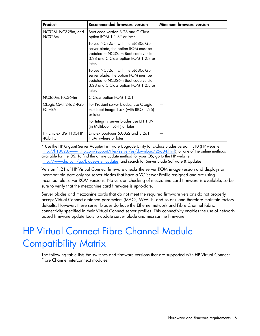| Product                        | <b>Recommended firmware version</b>                                                                                                                               | Minimum firmware version |
|--------------------------------|-------------------------------------------------------------------------------------------------------------------------------------------------------------------|--------------------------|
| NC326i, NC325m, and<br>NC326m  | Boot code version 3.28 and C Class<br>option ROM 1.1.3* or later                                                                                                  |                          |
|                                | To use NC325m with the BL680c G5<br>server blade, the option ROM must be<br>updated to NC325m Boot code version<br>3.28 and C Class option ROM 1.2.8 or<br>later. |                          |
|                                | To use NC326m with the BL680c G5<br>server blade, the option ROM must be<br>updated to NC326m Boot code version<br>3.28 and C Class option ROM 1.2.8 or<br>later. |                          |
| NC360m, NC364m                 | C Class option ROM 1.0.11                                                                                                                                         |                          |
| Qlogic QMH2462 4Gb<br>FC HBA   | For ProLiant server blades, use QLogic<br>multiboot image 1.63 (with BIOS 1.26)<br>or later.                                                                      |                          |
|                                | For Integrity server blades use EFI 1.09<br>(in Multiboot 1.64) or later                                                                                          |                          |
| HP Emulex LPe 1105-HP<br>4GbFC | Emulex boot-pair 6.00a2 and 3.2a1<br>HBAnywhere or later                                                                                                          |                          |

\* Use the HP Gigabit Server Adapter Firmware Upgrade Utility for c-Class Blades version 1.10 (HP website ([http://h18023.www1.hp.com/support/files/server/us/download/25604.html\)](http://h18023.www1.hp.com/support/files/server/us/download/25604.html)) or one of the online methods available for the OS. To find the online update method for your OS, go to the HP website ([http://www.hp.com/go/bladesystemupdates\)](http://www.hp.com/go/bladesystemupdates) and search for Server Blade Software & Updates.

Version 1.21 of HP Virtual Connect firmware checks the server ROM image version and displays an incompatible state only for server blades that have a VC Server Profile assigned and are using incompatible server ROM versions. No version checking of mezzanine card firmware is available, so be sure to verify that the mezzanine card firmware is up-to-date.

Server blades and mezzanine cards that do not meet the required firmware versions do not properly accept Virtual Connect-assigned parameters (MACs, WWNs, and so on), and therefore maintain factory defaults. However, these server blades do have the Ethernet network and Fibre Channel fabric connectivity specified in their Virtual Connect server profiles. This connectivity enables the use of networkbased firmware update tools to update server blade and mezzanine firmware.

## <span id="page-5-0"></span>HP Virtual Connect Fibre Channel Module Compatibility Matrix

The following table lists the switches and firmware versions that are supported with HP Virtual Connect Fibre Channel interconnect modules.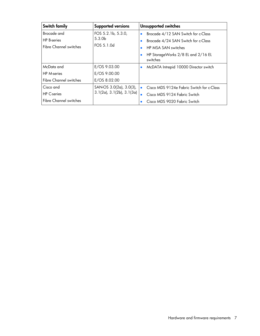| Switch family                                                      | <b>Supported versions</b>                                    | <b>Unsupported switches</b>                                                                                                                                                   |
|--------------------------------------------------------------------|--------------------------------------------------------------|-------------------------------------------------------------------------------------------------------------------------------------------------------------------------------|
| Brocade and<br><b>HP</b> B-series<br><b>Fibre Channel switches</b> | FOS 5.2.1b, 5.3.0,<br>5.3.0 <sub>b</sub><br>FOS 5.1.0d       | Brocade 4/12 SAN Switch for c-Class<br>$\bullet$<br>Brocade 4/24 SAN Switch for c-Class<br>HP MSA SAN switches<br>$\bullet$<br>HP StorageWorks 2/8 EL and 2/16 EL<br>switches |
| McData and<br><b>HP</b> M-series<br><b>Fibre Channel switches</b>  | E/OS 9.03.00<br>E/OS 9.00.00<br>E/OS 8.02.00                 | McDATA Intrepid 10000 Director switch<br>$\bullet$                                                                                                                            |
| Cisco and<br><b>HP</b> C-series<br><b>Fibre Channel switches</b>   | SAN-OS 3.0(2a), 3.0(3),<br>$3.1(2a)$ , $3.1(2b)$ , $3.1(3a)$ | Cisco MDS 9124e Fabric Switch for c-Class<br>$\bullet$<br>Cisco MDS 9124 Fabric Switch<br>$\bullet$<br>Cisco MDS 9020 Fabric Switch                                           |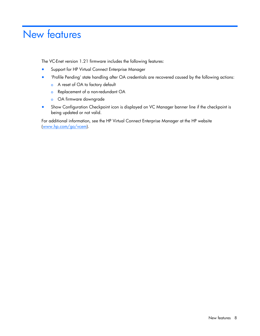## <span id="page-7-0"></span>New features

The VC-Enet version 1.21 firmware includes the following features:

- Support for HP Virtual Connect Enterprise Manager
- 'Profile Pending' state handling after OA credentials are recovered caused by the following actions:
	- o A reset of OA to factory default
	- o Replacement of a non-redundant OA
	- o OA firmware downgrade
- Show Configuration Checkpoint icon is displayed on VC Manager banner line if the checkpoint is being updated or not valid.

For additional information, see the HP Virtual Connect Enterprise Manager at the HP website ([www.hp.com/go/vcem\).](www.hp.com/go/vcem)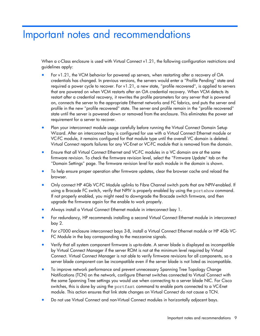## <span id="page-8-0"></span>Important notes and recommendations

When a c-Class enclosure is used with Virtual Connect v1.21, the following configuration restrictions and guidelines apply:

- For v1.21, the VCM behavior for powered up servers, when restarting after a recovery of OA credentials has changed. In previous versions, the servers would enter a "Profile Pending" state and required a power cycle to recover. For v1.21, a new state, "profile recovered", is applied to servers that are powered on when VCM restarts after an OA credential recovery. When VCM detects its restart after a credential recovery, it rewrites the profile parameters for any server that is powered on, connects the server to the appropriate Ethernet networks and FC fabrics, and puts the server and profile in the new "profile recovered" state. The server and profile remain in the "profile recovered" state until the server is powered down or removed from the enclosure. This eliminates the power set requirement for a server to recover.
- Plan your interconnect module usage carefully before running the Virtual Connect Domain Setup Wizard. After an interconnect bay is configured for use with a Virtual Connect Ethernet module or VC-FC module, it remains configured for that module type until the overall VC domain is deleted. Virtual Connect reports failures for any VC-Enet or VC-FC module that is removed from the domain.
- Ensure that all Virtual Connect Ethernet and VC-FC modules in a VC domain are at the same firmware revision. To check the firmware revision level, select the "Firmware Update" tab on the "Domain Settings" page. The firmware revision level for each module in the domain is shown.
- To help ensure proper operation after firmware updates, clear the browser cache and reload the browser.
- Only connect HP 4Gb VC-FC Module uplinks to Fibre Channel switch ports that are NPIV-enabled. If using a Brocade FC switch, verify that NPIV is properly enabled by using the portshow command. If not properly enabled, you might need to downgrade the Brocade switch firmware, and then upgrade the firmware again for the enable to work properly.
- Always install a Virtual Connect Ethernet module in interconnect bay 1.
- For redundancy, HP recommends installing a second Virtual Connect Ethernet module in interconnect bay 2.
- For c7000 enclosure interconnect bays 3-8, install a Virtual Connect Ethernet module or HP 4Gb VC-FC Module in the bay corresponding to the mezzanine signals.
- Verify that all system component firmware is up-to-date. A server blade is displayed as incompatible by Virtual Connect Manager if the server ROM is not at the minimum level required by Virtual Connect. Virtual Connect Manager is not able to verify firmware revisions for all components, so a server blade component can be incompatible even if the server blade is not listed as incompatible.
- To improve network performance and prevent unnecessary Spanning Tree Topology Change Notifications (TCN) on the network, configure Ethernet switches connected to Virtual Connect with the same Spanning Tree settings you would use when connecting to a server blade NIC. For Cisco switches, this is done by using the portfast command to enable ports connected to a VC-Enet module. This action ensures that link state changes on Virtual Connect do not cause a TCN.
- Do not use Virtual Connect and non-Virtual Connect modules in horizontally adjacent bays.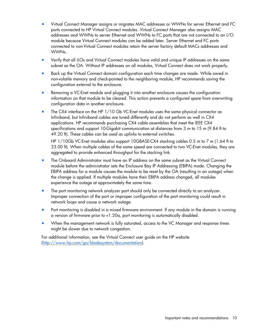- Virtual Connect Manager assigns or migrates MAC addresses or WWNs for server Ethernet and FC ports connected to HP Virtual Connect modules. Virtual Connect Manager also assigns MAC addresses and WWNs to server Ethernet and WWNs to FC ports that are not connected to an I/O module because Virtual Connect modules can be added later. Server Ethernet and FC ports connected to non-Virtual Connect modules retain the server factory default MACs addresses and WWNs.
- Verify that all iLOs and Virtual Connect modules have valid and unique IP addresses on the same subnet as the OA. Without IP addresses on all modules, Virtual Connect does not work properly.
- Back up the Virtual Connect domain configuration each time changes are made. While saved in non-volatile memory and check-pointed to the neighboring module, HP recommends saving the configuration external to the enclosure.
- Removing a VC-Enet module and plugging it into another enclosure causes the configuration information on that module to be cleared. This action prevents a configured spare from overwriting configuration data in another enclosure.
- The CX4 interface on the HP 1/10 Gb VC-Enet modules uses the same physical connector as Infiniband, but Infiniband cables are tuned differently and do not perform as well in CX4 applications. HP recommends purchasing CX4 cable assemblies that meet the IEEE CX4 specifications and support 10-Gigabit communication at distances from 3 m to 15 m (9.84 ft to 49.20 ft). These cables can be used as uplinks to external switches.

HP 1/10Gb VC-Enet modules also support 10GBASE-CX4 stacking cables 0.5 m to 7 m (1.64 ft to 23.00 ft). When multiple cables of the same speed are connected to two VC-Enet modules, they are aggregated to provide enhanced throughput for the stacking link.

- The Onboard Administrator must have an IP address on the same subnet as the Virtual Connect module before the administrator sets the Enclosure Bay IP Addressing (EBIPA) mode. Changing the EBIPA address for a module causes the module to be reset by the OA (resulting in an outage) when the change is applied. If multiple modules have their EBIPA address changed, all modules experience the outage at approximately the same time.
- The port monitoring network analyzer port should only be connected directly to an analyzer. Improper connection of the port or improper configuration of the port monitoring could result in network loops and cause a network outage.
- Port monitoring is disabled in a mixed firmware environment. If any module in the domain is running a version of firmware prior to v1.20a, port monitoring is automatically disabled.
- When the management network is fully saturated, access to the VC Manager and response times might be slower due to network congestion.

For additional information, see the Virtual Connect user guide on the HP website ([http://www.hp.com/go/bladesystem/documentation\)](http://www.hp.com/go/bladesystem/documentation).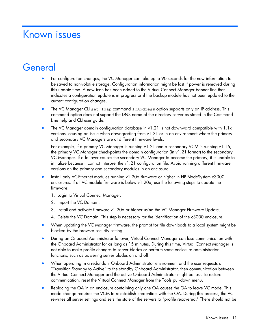## <span id="page-10-0"></span>Known issues

## <span id="page-10-1"></span>**General**

- For configuration changes, the VC Manager can take up to 90 seconds for the new information to be saved to non-volatile storage. Configuration information might be lost if power is removed during this update time. A new icon has been added to the Virtual Connect Manager banner line that indicates a configuration update is in progress or if the backup module has not been updated to the current configuration changes.
- The VC Manager CLI set ldap command IpAddress option supports only an IP address. This command option does not support the DNS name of the directory server as stated in the Command Line help and CLI user guide.
- The VC Manager domain configuration database in v1.21 is not downward compatible with 1.1x versions, causing an issue when downgrading from v1.21 or in an environment where the primary and secondary VC Managers are at different firmware levels.

For example, if a primary VC Manager is running v1.21 and a secondary VCM is running v1.16, the primary VC Manager check-points the domain configuration (in v1.21 format) to the secondary VC Manager. If a failover causes the secondary VC Manager to become the primary, it is unable to initialize because it cannot interpret the v1.21 configuration file. Avoid running different firmware versions on the primary and secondary modules in an enclosure.

- Install only VC-Ethernet modules running v1.20a firmware or higher in HP BladeSystem c3000 enclosures. If all VC module firmware is below v1.20a, use the following steps to update the firmware:
	- 1. Login to Virtual Connect Manager.
	- 2. Import the VC Domain.
	- 3. Install and activate firmware v1.20a or higher using the VC Manager Firmware Update.
	- 4. Delete the VC Domain. This step is necessary for the identification of the c3000 enclosure.
- When updating the VC Manager firmware, the prompt for file downloads to a local system might be blocked by the browser security setting.
- During an Onboard Administrator failover, Virtual Connect Manager can lose communication with the Onboard Administrator for as long as 15 minutes. During this time, Virtual Connect Manager is not able to make profile changes to server blades or perform some enclosure administration functions, such as powering server blades on and off.
- When operating in a redundant Onboard Administrator environment and the user requests a "Transition Standby to Active" to the standby Onboard Administrator, then communication between the Virtual Connect Manager and the active Onboard Administrator might be lost. To restore communication, reset the Virtual Connect Manager from the Tools pull-down menu.
- Replacing the OA in an enclosure containing only one OA causes the OA to leave VC mode. This mode change requires the VCM to re-establish credentials with the OA. During this process, the VC rewrites all server settings and sets the state of the servers to "profile recovered." There should not be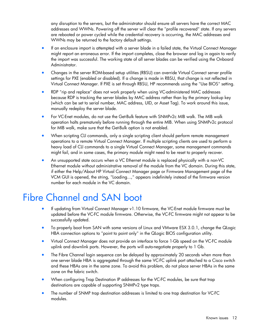any disruption to the servers, but the administrator should ensure all servers have the correct MAC addresses and WWNs. Powering off the server will clear the "profile recovered" state. If any servers are rebooted or power cycled while the credential recovery is occurring, the MAC addresses and WWNs may be returned to the factory default settings.

- If an enclosure import is attempted with a server blade in a failed state, the Virtual Connect Manager might report an erroneous error. If the import completes, close the browser and log in again to verify the import was successful. The working state of all server blades can be verified using the Onboard Administrator.
- Changes in the server ROM-based setup utilities (RBSU) can override Virtual Connect server profile settings for PXE (enabled or disabled). If a change is made in RBSU, that change is not reflected in Virtual Connect Manager. If PXE is set through RBSU, HP recommends using the "Use BIOS" setting.
- RDP "rip and replace" does not work properly when using VC-administered MAC addresses because RDP is tracking the server blades by MAC address rather than by the primary lookup key (which can be set to serial number, MAC address, UID, or Asset Tag). To work around this issue, manually redeploy the server blade.
- For VC-Enet modules, do not use the Get-Bulk feature with SNMPv2c MIB walk. The MIB walk operation halts prematurely before running through the entire MIB. When using SNMPv2c protocol for MIB walk, make sure that the Get-Bulk option is not enabled.
- When scripting CLI commands, only a single scripting client should perform remote management operations to a remote Virtual Connect Manager. If multiple scripting clients are used to perform a heavy load of CLI commands to a single Virtual Connect Manager, some management commands might fail, and in some cases, the primary module might need to be reset to properly recover.
- An unsupported state occurs when a VC Ethernet module is replaced physically with a non-VC Ethernet module without administrative removal of the module from the VC domain. During this state, if either the Help/About HP Virtual Connect Manager page or Firmware Management page of the VCM GUI is opened, the string, "Loading...," appears indefinitely instead of the firmware version number for each module in the VC domain.

## <span id="page-11-0"></span>Fibre Channel and SAN boot

- If updating from Virtual Connect Manager v1.10 firmware, the VC-Enet module firmware must be updated before the VC-FC module firmware. Otherwise, the VC-FC firmware might not appear to be successfully updated.
- To properly boot from SAN with some versions of Linux and VMware ESX 3.0.1, change the QLogic HBA connection options to "point to point only" in the QLogic BIOS configuration utility.
- Virtual Connect Manager does not provide an interface to force 1-Gb speed on the VC-FC module uplink and downlink ports. However, the ports will auto-negotiate properly to 1 Gb.
- The Fibre Channel login sequence can be delayed by approximately 20 seconds when more than one server blade HBA is aggregated through the same VC-FC uplink port attached to a Cisco switch and these HBAs are in the same zone. To avoid this problem, do not place server HBAs in the same zone on the fabric switch.
- When configuring Trap Destination IP addresses for the VC-FC modules, be sure that trap destinations are capable of supporting SNMPv2 type traps.
- The number of SNMP trap destination addresses is limited to one trap destination for VC-FC modules.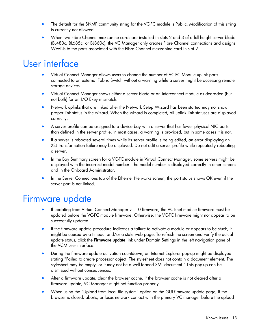- The default for the SNMP community string for the VC-FC module is Public. Modification of this string is currently not allowed.
- When two Fibre Channel mezzanine cards are installed in slots 2 and 3 of a full-height server blade (BL480c, BL685c, or BL860c), the VC Manager only creates Fibre Channel connections and assigns WWNs to the ports associated with the Fibre Channel mezzanine card in slot 2.

### <span id="page-12-0"></span>User interface

- Virtual Connect Manager allows users to change the number of VC-FC Module uplink ports connected to an external Fabric Switch without a warning while a server might be accessing remote storage devices.
- Virtual Connect Manager shows either a server blade or an interconnect module as degraded (but not both) for an I/O Ekey mismatch.
- Network uplinks that are linked after the Network Setup Wizard has been started may not show proper link status in the wizard. When the wizard is completed, all uplink link statuses are displayed correctly.
- A server profile can be assigned to a device bay with a server that has fewer physical NIC ports than defined in the server profile. In most cases, a warning is provided, but in some cases it is not.
- If a server is rebooted several times while its server profile is being edited, an error displaying an XSL transformation failure may be displayed. Do not edit a server profile while repeatedly rebooting a server.
- In the Bay Summary screen for a VC-FC module in Virtual Connect Manager, some servers might be displayed with the incorrect model number. The model number is displayed correctly in other screens and in the Onboard Administrator.
- In the Server Connections tab of the Ethernet Networks screen, the port status shows OK even if the server port is not linked.

### <span id="page-12-1"></span>Firmware update

- If updating from Virtual Connect Manager v1.10 firmware, the VC-Enet module firmware must be updated before the VC-FC module firmware. Otherwise, the VC-FC firmware might not appear to be successfully updated.
- If the firmware update procedure indicates a failure to activate a module or appears to be stuck, it might be caused by a timeout and/or a stale web page. To refresh the screen and verify the actual update status, click the **Firmware update** link under Domain Settings in the left navigation pane of the VCM user interface.
- During the firmware update activation countdown, an Internet Explorer pop-up might be displayed stating "Failed to create processor object: The stylesheet does not contain a document element. The stylesheet may be empty, or it may not be a well-formed XML document." This pop-up can be dismissed without consequences.
- After a firmware update, clear the browser cache. If the browser cache is not cleared after a firmware update, VC Manager might not function properly.
- When using the "Upload from local file system" option on the GUI firmware update page, if the browser is closed, aborts, or loses network contact with the primary VC manager before the upload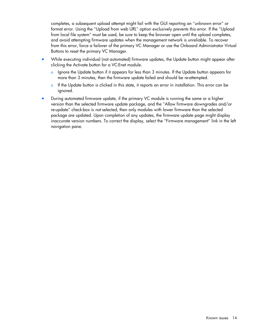completes, a subsequent upload attempt might fail with the GUI reporting an "unknown error" or format error. Using the "Upload from web URL" option exclusively prevents this error. If the "Upload from local file system" must be used, be sure to keep the browser open until the upload completes, and avoid attempting firmware updates when the management network is unreliable. To recover from this error, force a failover of the primary VC Manager or use the Onboard Administrator Virtual Buttons to reset the primary VC Manager.

- While executing individual (not automated) firmware updates, the Update button might appear after clicking the Activate button for a VC-Enet module.
	- o Ignore the Update button if it appears for less than 3 minutes. If the Update button appears for more than 3 minutes, then the firmware update failed and should be re-attempted.
	- $\circ$  If the Update button is clicked in this state, it reports an error in installation. This error can be ignored.
- During automated firmware update, if the primary VC module is running the same or a higher version than the selected firmware update package, and the "Allow firmware downgrades and/or re-update" check-box is *not* selected, then only modules with lower firmware than the selected package are updated. Upon completion of any updates, the firmware update page might display inaccurate version numbers. To correct the display, select the "Firmware management" link in the left navigation pane.